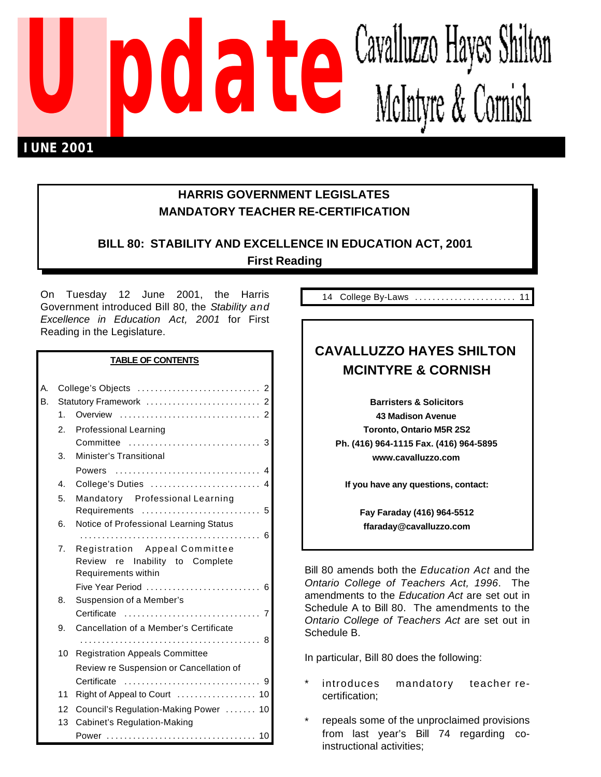

# **HARRIS GOVERNMENT LEGISLATES MANDATORY TEACHER RE-CERTIFICATION**

# **BILL 80: STABILITY AND EXCELLENCE IN EDUCATION ACT, 2001 First Reading**

On Tuesday 12 June 2001, the Harris Government introduced Bill 80, the *Stability and Excellence in Education Act, 2001* for First Reading in the Legislature.

#### **TABLE OF CONTENTS**

| А. |    |                                                        |
|----|----|--------------------------------------------------------|
| В. |    | Statutory Framework  2                                 |
|    | 1. |                                                        |
|    | 2. | <b>Professional Learning</b>                           |
|    |    |                                                        |
|    | 3. | Minister's Transitional                                |
|    |    | Powers                                                 |
|    | 4. | College's Duties  4                                    |
|    | 5. | Mandatory Professional Learning                        |
|    |    | Requirements  5                                        |
|    | 6. | Notice of Professional Learning Status                 |
|    |    |                                                        |
|    | 7. | Registration Appeal Committee                          |
|    |    | Review re Inability to Complete<br>Requirements within |
|    |    | Five Year Period  6                                    |
|    | 8. | Suspension of a Member's                               |
|    |    |                                                        |
|    | 9. | Cancellation of a Member's Certificate                 |
|    |    |                                                        |
|    | 10 | <b>Registration Appeals Committee</b>                  |
|    |    | Review re Suspension or Cancellation of                |
|    |    | Certificate                                            |
|    | 11 |                                                        |
|    | 12 | Council's Regulation-Making Power  10                  |
|    | 13 | Cabinet's Regulation-Making                            |
|    |    | Power  10                                              |

14 College By-Laws ....................... 11

# **CAVALLUZZO HAYES SHILTON MCINTYRE & CORNISH**

**Barristers & Solicitors 43 Madison Avenue Toronto, Ontario M5R 2S2 Ph. (416) 964-1115 Fax. (416) 964-5895 www.cavalluzzo.com**

**If you have any questions, contact:**

**Fay Faraday (416) 964-5512 ffaraday@cavalluzzo.com**

Bill 80 amends both the *Education Act* and the *Ontario College of Teachers Act, 1996*. The amendments to the *Education Act* are set out in Schedule A to Bill 80. The amendments to the *Ontario College of Teachers Act* are set out in Schedule B.

In particular, Bill 80 does the following:

- introduces mandatory teacher recertification;
- repeals some of the unproclaimed provisions from last year's Bill 74 regarding coinstructional activities;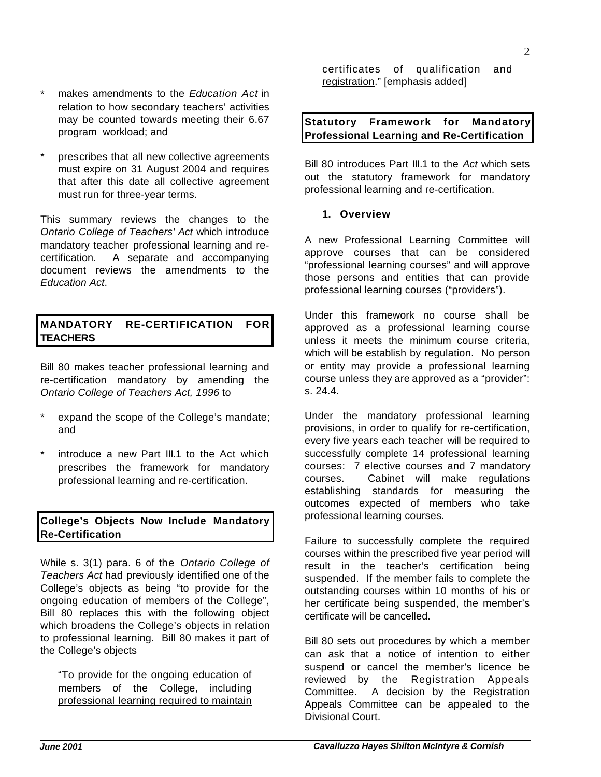*June 2001 Cavalluzzo Hayes Shilton McIntyre & Cornish*

- makes amendments to the *Education Act* in relation to how secondary teachers' activities may be counted towards meeting their 6.67 program workload; and
- prescribes that all new collective agreements must expire on 31 August 2004 and requires that after this date all collective agreement must run for three-year terms.

This summary reviews the changes to the *Ontario College of Teachers' Act* which introduce mandatory teacher professional learning and recertification. A separate and accompanying document reviews the amendments to the *Education Act*.

# **MANDATORY RE-CERTIFICATION FOR TEACHERS**

Bill 80 makes teacher professional learning and re-certification mandatory by amending the *Ontario College of Teachers Act, 1996* to

- expand the scope of the College's mandate; and
- introduce a new Part III.1 to the Act which prescribes the framework for mandatory professional learning and re-certification.

### **College's Objects Now Include Mandatory Re-Certification**

While s. 3(1) para. 6 of the *Ontario College of Teachers Act* had previously identified one of the College's objects as being "to provide for the ongoing education of members of the College", Bill 80 replaces this with the following object which broadens the College's objects in relation to professional learning. Bill 80 makes it part of the College's objects

"To provide for the ongoing education of members of the College, including professional learning required to maintain

certificates of qualification and registration." [emphasis added]

#### **Statutory Framework for Mandatory Professional Learning and Re-Certification**

Bill 80 introduces Part III.1 to the *Act* which sets out the statutory framework for mandatory professional learning and re-certification.

#### **1. Overview**

A new Professional Learning Committee will approve courses that can be considered "professional learning courses" and will approve those persons and entities that can provide professional learning courses ("providers").

Under this framework no course shall be approved as a professional learning course unless it meets the minimum course criteria, which will be establish by regulation. No person or entity may provide a professional learning course unless they are approved as a "provider": s. 24.4.

Under the mandatory professional learning provisions, in order to qualify for re-certification, every five years each teacher will be required to successfully complete 14 professional learning courses: 7 elective courses and 7 mandatory courses. Cabinet will make regulations establishing standards for measuring the outcomes expected of members who take professional learning courses.

Failure to successfully complete the required courses within the prescribed five year period will result in the teacher's certification being suspended. If the member fails to complete the outstanding courses within 10 months of his or her certificate being suspended, the member's certificate will be cancelled.

Bill 80 sets out procedures by which a member can ask that a notice of intention to either suspend or cancel the member's licence be reviewed by the Registration Appeals Committee. A decision by the Registration Appeals Committee can be appealed to the Divisional Court.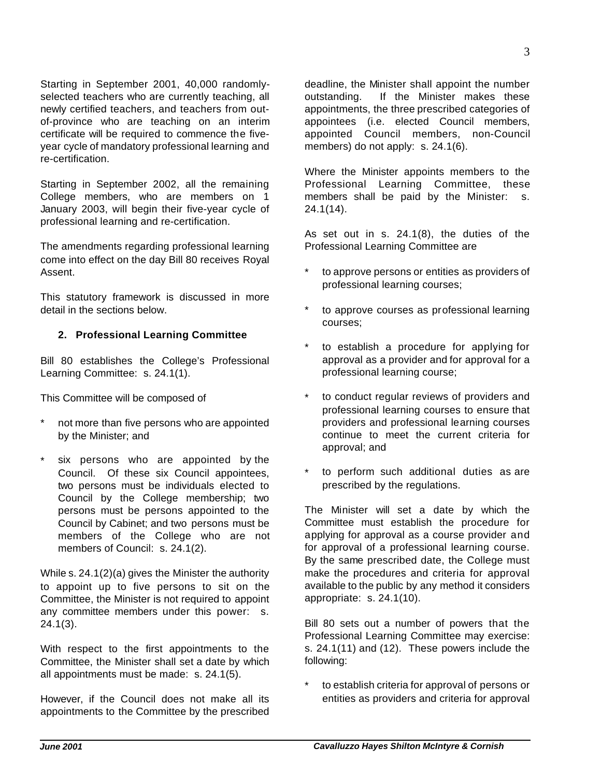Starting in September 2001, 40,000 randomlyselected teachers who are currently teaching, all newly certified teachers, and teachers from outof-province who are teaching on an interim certificate will be required to commence the fiveyear cycle of mandatory professional learning and re-certification.

Starting in September 2002, all the remaining College members, who are members on 1 January 2003, will begin their five-year cycle of professional learning and re-certification.

The amendments regarding professional learning come into effect on the day Bill 80 receives Royal Assent.

This statutory framework is discussed in more detail in the sections below.

### **2. Professional Learning Committee**

Bill 80 establishes the College's Professional Learning Committee: s. 24.1(1).

This Committee will be composed of

- not more than five persons who are appointed by the Minister; and
- \* six persons who are appointed by the Council. Of these six Council appointees, two persons must be individuals elected to Council by the College membership; two persons must be persons appointed to the Council by Cabinet; and two persons must be members of the College who are not members of Council: s. 24.1(2).

While s. 24.1(2)(a) gives the Minister the authority to appoint up to five persons to sit on the Committee, the Minister is not required to appoint any committee members under this power: s. 24.1(3).

With respect to the first appointments to the Committee, the Minister shall set a date by which all appointments must be made: s. 24.1(5).

However, if the Council does not make all its appointments to the Committee by the prescribed deadline, the Minister shall appoint the number outstanding. If the Minister makes these appointments, the three prescribed categories of appointees (i.e. elected Council members, appointed Council members, non-Council members) do not apply: s. 24.1(6).

Where the Minister appoints members to the Professional Learning Committee, these members shall be paid by the Minister: s. 24.1(14).

As set out in s. 24.1(8), the duties of the Professional Learning Committee are

- to approve persons or entities as providers of professional learning courses;
- to approve courses as professional learning courses;
- to establish a procedure for applying for approval as a provider and for approval for a professional learning course;
- to conduct regular reviews of providers and professional learning courses to ensure that providers and professional learning courses continue to meet the current criteria for approval; and
- to perform such additional duties as are prescribed by the regulations.

The Minister will set a date by which the Committee must establish the procedure for applying for approval as a course provider and for approval of a professional learning course. By the same prescribed date, the College must make the procedures and criteria for approval available to the public by any method it considers appropriate: s. 24.1(10).

Bill 80 sets out a number of powers that the Professional Learning Committee may exercise: s. 24.1(11) and (12). These powers include the following:

to establish criteria for approval of persons or entities as providers and criteria for approval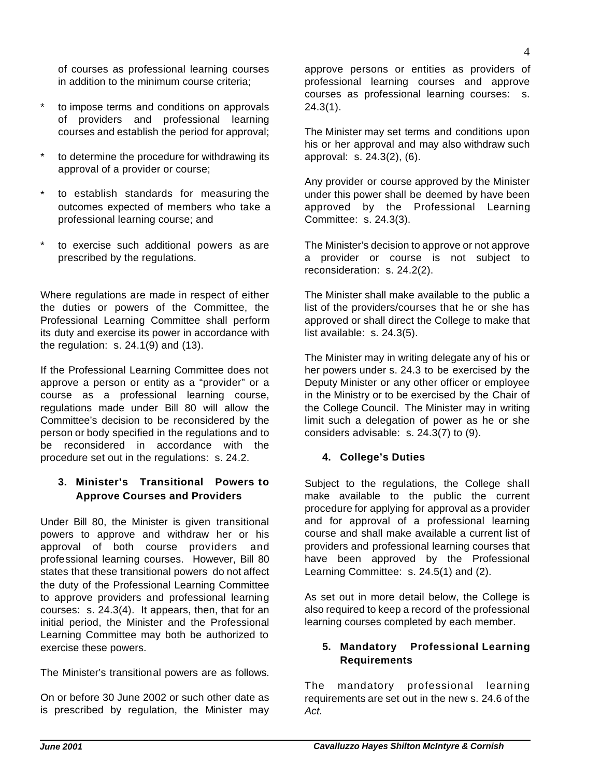of courses as professional learning courses in addition to the minimum course criteria;

- to impose terms and conditions on approvals of providers and professional learning courses and establish the period for approval;
- to determine the procedure for withdrawing its approval of a provider or course;
- to establish standards for measuring the outcomes expected of members who take a professional learning course; and
- to exercise such additional powers as are prescribed by the regulations.

Where regulations are made in respect of either the duties or powers of the Committee, the Professional Learning Committee shall perform its duty and exercise its power in accordance with the regulation: s. 24.1(9) and (13).

If the Professional Learning Committee does not approve a person or entity as a "provider" or a course as a professional learning course, regulations made under Bill 80 will allow the Committee's decision to be reconsidered by the person or body specified in the regulations and to be reconsidered in accordance with the procedure set out in the regulations: s. 24.2.

# **3. Minister's Transitional Powers to Approve Courses and Providers**

Under Bill 80, the Minister is given transitional powers to approve and withdraw her or his approval of both course providers and professional learning courses. However, Bill 80 states that these transitional powers do not affect the duty of the Professional Learning Committee to approve providers and professional learning courses: s. 24.3(4). It appears, then, that for an initial period, the Minister and the Professional Learning Committee may both be authorized to exercise these powers.

The Minister's transitional powers are as follows.

On or before 30 June 2002 or such other date as is prescribed by regulation, the Minister may approve persons or entities as providers of professional learning courses and approve courses as professional learning courses: s.  $24.3(1)$ .

The Minister may set terms and conditions upon his or her approval and may also withdraw such approval: s. 24.3(2), (6).

Any provider or course approved by the Minister under this power shall be deemed by have been approved by the Professional Learning Committee: s. 24.3(3).

The Minister's decision to approve or not approve a provider or course is not subject to reconsideration: s. 24.2(2).

The Minister shall make available to the public a list of the providers/courses that he or she has approved or shall direct the College to make that list available: s. 24.3(5).

The Minister may in writing delegate any of his or her powers under s. 24.3 to be exercised by the Deputy Minister or any other officer or employee in the Ministry or to be exercised by the Chair of the College Council. The Minister may in writing limit such a delegation of power as he or she considers advisable: s. 24.3(7) to (9).

# **4. College's Duties**

Subject to the regulations, the College shall make available to the public the current procedure for applying for approval as a provider and for approval of a professional learning course and shall make available a current list of providers and professional learning courses that have been approved by the Professional Learning Committee: s. 24.5(1) and (2).

As set out in more detail below, the College is also required to keep a record of the professional learning courses completed by each member.

### **5. Mandatory Professional Learning Requirements**

The mandatory professional learning requirements are set out in the new s. 24.6 of the *Act*.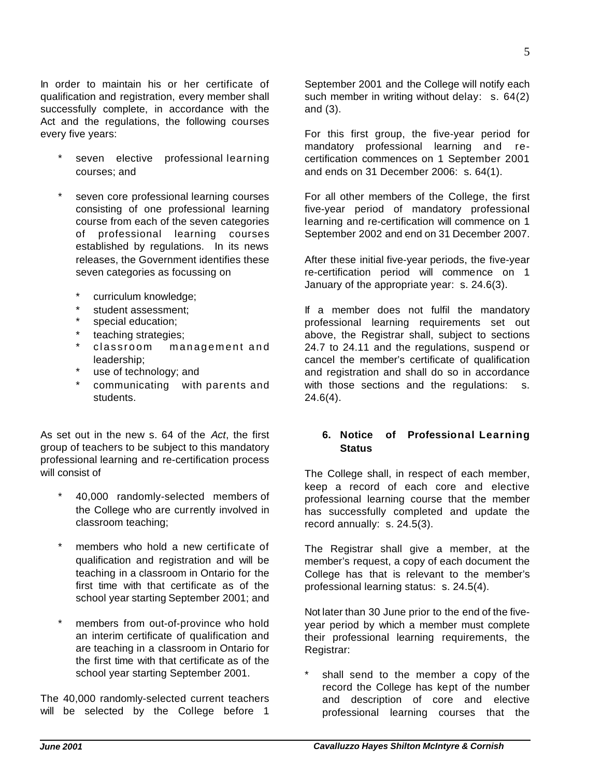In order to maintain his or her certificate of qualification and registration, every member shall successfully complete, in accordance with the Act and the regulations, the following courses every five years:

- seven elective professional learning courses; and
- seven core professional learning courses consisting of one professional learning course from each of the seven categories of professional learning courses established by regulations. In its news releases, the Government identifies these seven categories as focussing on
	- \* curriculum knowledge;
	- \* student assessment;
	- special education;
	- \* teaching strategies;
	- classroom management and leadership;
	- \* use of technology; and
	- \* communicating with parents and students.

As set out in the new s. 64 of the *Act*, the first group of teachers to be subject to this mandatory professional learning and re-certification process will consist of

- 40,000 randomly-selected members of the College who are currently involved in classroom teaching;
- \* members who hold a new certificate of qualification and registration and will be teaching in a classroom in Ontario for the first time with that certificate as of the school year starting September 2001; and
- members from out-of-province who hold an interim certificate of qualification and are teaching in a classroom in Ontario for the first time with that certificate as of the school year starting September 2001.

The 40,000 randomly-selected current teachers will be selected by the College before 1

September 2001 and the College will notify each such member in writing without delay: s. 64(2) and (3).

For this first group, the five-year period for mandatory professional learning and recertification commences on 1 September 2001 and ends on 31 December 2006: s. 64(1).

For all other members of the College, the first five-year period of mandatory professional learning and re-certification will commence on 1 September 2002 and end on 31 December 2007.

After these initial five-year periods, the five-year re-certification period will commence on 1 January of the appropriate year: s. 24.6(3).

If a member does not fulfil the mandatory professional learning requirements set out above, the Registrar shall, subject to sections 24.7 to 24.11 and the regulations, suspend or cancel the member's certificate of qualification and registration and shall do so in accordance with those sections and the regulations: s.  $24.6(4)$ .

#### **6. Notice of Professional Learning Status**

The College shall, in respect of each member, keep a record of each core and elective professional learning course that the member has successfully completed and update the record annually: s. 24.5(3).

The Registrar shall give a member, at the member's request, a copy of each document the College has that is relevant to the member's professional learning status: s. 24.5(4).

Not later than 30 June prior to the end of the fiveyear period by which a member must complete their professional learning requirements, the Registrar:

shall send to the member a copy of the record the College has kept of the number and description of core and elective professional learning courses that the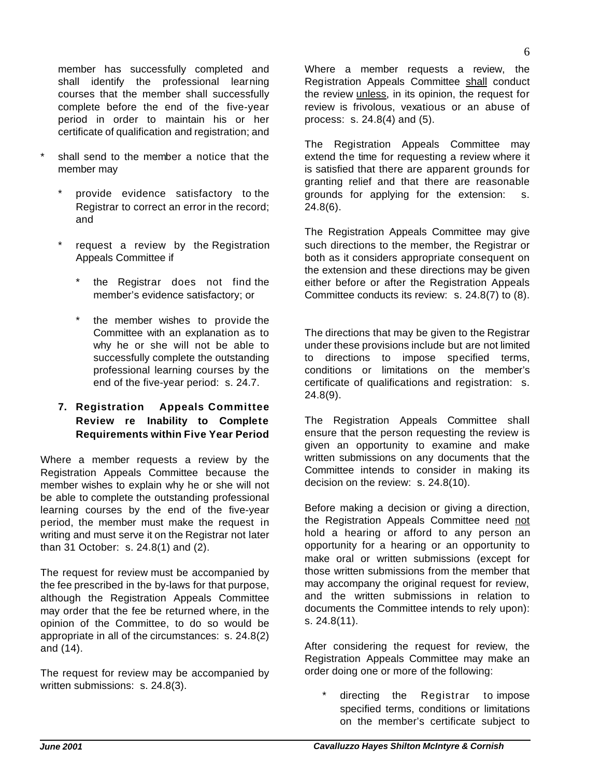member has successfully completed and shall identify the professional learning courses that the member shall successfully complete before the end of the five-year period in order to maintain his or her certificate of qualification and registration; and

- shall send to the member a notice that the member may
	- provide evidence satisfactory to the Registrar to correct an error in the record; and
	- request a review by the Registration Appeals Committee if
		- \* the Registrar does not find the member's evidence satisfactory; or
		- \* the member wishes to provide the Committee with an explanation as to why he or she will not be able to successfully complete the outstanding professional learning courses by the end of the five-year period: s. 24.7.

### **7. Registration Appeals Committee Review re Inability to Complete Requirements within Five Year Period**

Where a member requests a review by the Registration Appeals Committee because the member wishes to explain why he or she will not be able to complete the outstanding professional learning courses by the end of the five-year period, the member must make the request in writing and must serve it on the Registrar not later than 31 October: s. 24.8(1) and (2).

The request for review must be accompanied by the fee prescribed in the by-laws for that purpose, although the Registration Appeals Committee may order that the fee be returned where, in the opinion of the Committee, to do so would be appropriate in all of the circumstances: s. 24.8(2) and (14).

The request for review may be accompanied by written submissions: s. 24.8(3).

Where a member requests a review, the Registration Appeals Committee shall conduct the review unless, in its opinion, the request for review is frivolous, vexatious or an abuse of process: s. 24.8(4) and (5).

The Registration Appeals Committee may extend the time for requesting a review where it is satisfied that there are apparent grounds for granting relief and that there are reasonable grounds for applying for the extension: s. 24.8(6).

The Registration Appeals Committee may give such directions to the member, the Registrar or both as it considers appropriate consequent on the extension and these directions may be given either before or after the Registration Appeals Committee conducts its review: s. 24.8(7) to (8).

The directions that may be given to the Registrar under these provisions include but are not limited to directions to impose specified terms, conditions or limitations on the member's certificate of qualifications and registration: s. 24.8(9).

The Registration Appeals Committee shall ensure that the person requesting the review is given an opportunity to examine and make written submissions on any documents that the Committee intends to consider in making its decision on the review: s. 24.8(10).

Before making a decision or giving a direction, the Registration Appeals Committee need not hold a hearing or afford to any person an opportunity for a hearing or an opportunity to make oral or written submissions (except for those written submissions from the member that may accompany the original request for review, and the written submissions in relation to documents the Committee intends to rely upon): s. 24.8(11).

After considering the request for review, the Registration Appeals Committee may make an order doing one or more of the following:

directing the Registrar to impose specified terms, conditions or limitations on the member's certificate subject to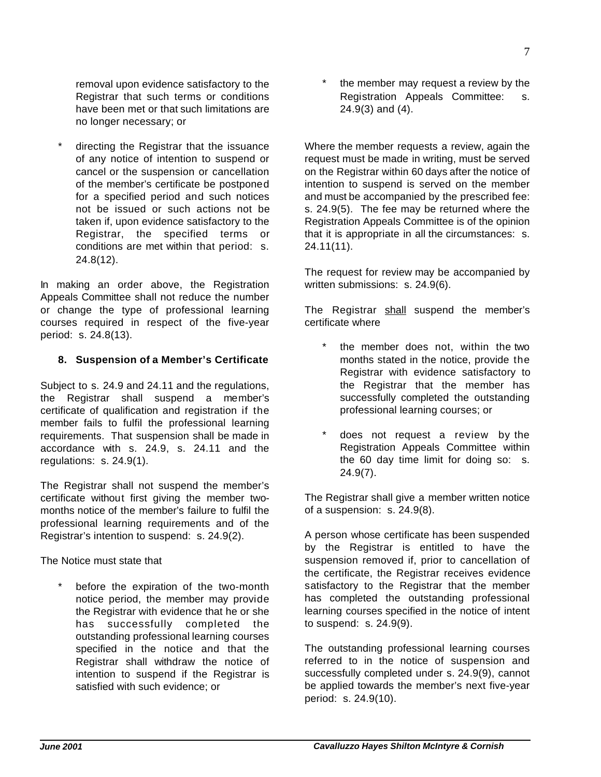removal upon evidence satisfactory to the Registrar that such terms or conditions have been met or that such limitations are no longer necessary; or

directing the Registrar that the issuance of any notice of intention to suspend or cancel or the suspension or cancellation of the member's certificate be postponed for a specified period and such notices not be issued or such actions not be taken if, upon evidence satisfactory to the Registrar, the specified terms or conditions are met within that period: s. 24.8(12).

In making an order above, the Registration Appeals Committee shall not reduce the number or change the type of professional learning courses required in respect of the five-year period: s. 24.8(13).

#### **8. Suspension of a Member's Certificate**

Subject to s. 24.9 and 24.11 and the regulations, the Registrar shall suspend a member's certificate of qualification and registration if the member fails to fulfil the professional learning requirements. That suspension shall be made in accordance with s. 24.9, s. 24.11 and the regulations: s. 24.9(1).

The Registrar shall not suspend the member's certificate without first giving the member twomonths notice of the member's failure to fulfil the professional learning requirements and of the Registrar's intention to suspend: s. 24.9(2).

The Notice must state that

before the expiration of the two-month notice period, the member may provide the Registrar with evidence that he or she has successfully completed the outstanding professional learning courses specified in the notice and that the Registrar shall withdraw the notice of intention to suspend if the Registrar is satisfied with such evidence; or

the member may request a review by the Registration Appeals Committee: s. 24.9(3) and (4).

Where the member requests a review, again the request must be made in writing, must be served on the Registrar within 60 days after the notice of intention to suspend is served on the member and must be accompanied by the prescribed fee: s. 24.9(5). The fee may be returned where the Registration Appeals Committee is of the opinion that it is appropriate in all the circumstances: s. 24.11(11).

The request for review may be accompanied by written submissions: s. 24.9(6).

The Registrar shall suspend the member's certificate where

- the member does not, within the two months stated in the notice, provide the Registrar with evidence satisfactory to the Registrar that the member has successfully completed the outstanding professional learning courses; or
- does not request a review by the Registration Appeals Committee within the 60 day time limit for doing so: s. 24.9(7).

The Registrar shall give a member written notice of a suspension: s. 24.9(8).

A person whose certificate has been suspended by the Registrar is entitled to have the suspension removed if, prior to cancellation of the certificate, the Registrar receives evidence satisfactory to the Registrar that the member has completed the outstanding professional learning courses specified in the notice of intent to suspend: s. 24.9(9).

The outstanding professional learning courses referred to in the notice of suspension and successfully completed under s. 24.9(9), cannot be applied towards the member's next five-year period: s. 24.9(10).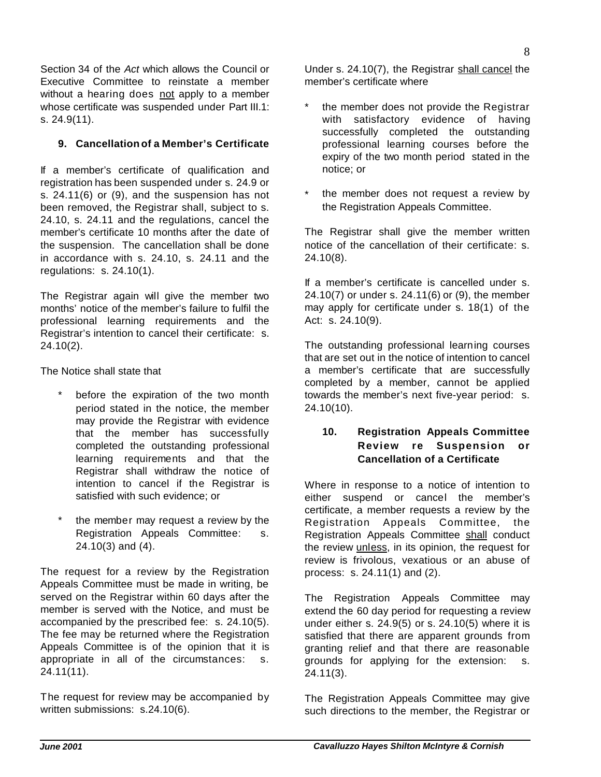Section 34 of the *Act* which allows the Council or Executive Committee to reinstate a member without a hearing does not apply to a member whose certificate was suspended under Part III.1: s. 24.9(11).

### **9. Cancellation of a Member's Certificate**

If a member's certificate of qualification and registration has been suspended under s. 24.9 or s. 24.11(6) or (9), and the suspension has not been removed, the Registrar shall, subject to s. 24.10, s. 24.11 and the regulations, cancel the member's certificate 10 months after the date of the suspension. The cancellation shall be done in accordance with s. 24.10, s. 24.11 and the regulations: s. 24.10(1).

The Registrar again will give the member two months' notice of the member's failure to fulfil the professional learning requirements and the Registrar's intention to cancel their certificate: s. 24.10(2).

The Notice shall state that

- before the expiration of the two month period stated in the notice, the member may provide the Registrar with evidence that the member has successfully completed the outstanding professional learning requirements and that the Registrar shall withdraw the notice of intention to cancel if the Registrar is satisfied with such evidence; or
- the member may request a review by the Registration Appeals Committee: s. 24.10(3) and (4).

The request for a review by the Registration Appeals Committee must be made in writing, be served on the Registrar within 60 days after the member is served with the Notice, and must be accompanied by the prescribed fee: s. 24.10(5). The fee may be returned where the Registration Appeals Committee is of the opinion that it is appropriate in all of the circumstances: s. 24.11(11).

The request for review may be accompanied by written submissions: s.24.10(6).

Under s. 24.10(7), the Registrar shall cancel the member's certificate where

- the member does not provide the Registrar with satisfactory evidence of having successfully completed the outstanding professional learning courses before the expiry of the two month period stated in the notice; or
- the member does not request a review by the Registration Appeals Committee.

The Registrar shall give the member written notice of the cancellation of their certificate: s. 24.10(8).

If a member's certificate is cancelled under s. 24.10(7) or under s. 24.11(6) or (9), the member may apply for certificate under s. 18(1) of the Act: s. 24.10(9).

The outstanding professional learning courses that are set out in the notice of intention to cancel a member's certificate that are successfully completed by a member, cannot be applied towards the member's next five-year period: s. 24.10(10).

### **10. Registration Appeals Committee Review re Suspension or Cancellation of a Certificate**

Where in response to a notice of intention to either suspend or cancel the member's certificate, a member requests a review by the Registration Appeals Committee, the Registration Appeals Committee shall conduct the review unless, in its opinion, the request for review is frivolous, vexatious or an abuse of process: s. 24.11(1) and (2).

The Registration Appeals Committee may extend the 60 day period for requesting a review under either s. 24.9(5) or s. 24.10(5) where it is satisfied that there are apparent grounds from granting relief and that there are reasonable grounds for applying for the extension: s. 24.11(3).

The Registration Appeals Committee may give such directions to the member, the Registrar or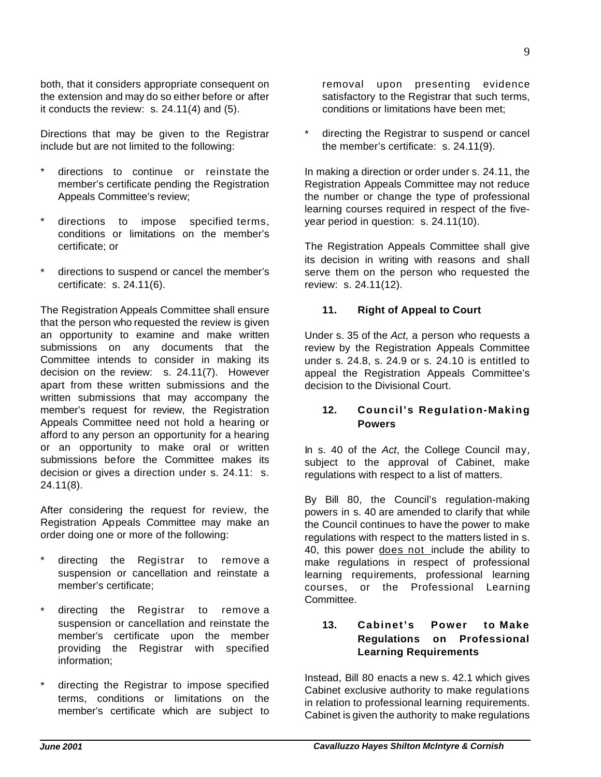both, that it considers appropriate consequent on the extension and may do so either before or after it conducts the review: s. 24.11(4) and (5).

Directions that may be given to the Registrar include but are not limited to the following:

- directions to continue or reinstate the member's certificate pending the Registration Appeals Committee's review;
- directions to impose specified terms, conditions or limitations on the member's certificate; or
- directions to suspend or cancel the member's certificate: s. 24.11(6).

The Registration Appeals Committee shall ensure that the person who requested the review is given an opportunity to examine and make written submissions on any documents that the Committee intends to consider in making its decision on the review: s. 24.11(7). However apart from these written submissions and the written submissions that may accompany the member's request for review, the Registration Appeals Committee need not hold a hearing or afford to any person an opportunity for a hearing or an opportunity to make oral or written submissions before the Committee makes its decision or gives a direction under s. 24.11: s. 24.11(8).

After considering the request for review, the Registration Appeals Committee may make an order doing one or more of the following:

- directing the Registrar to remove a suspension or cancellation and reinstate a member's certificate;
- directing the Registrar to remove a suspension or cancellation and reinstate the member's certificate upon the member providing the Registrar with specified information;
- directing the Registrar to impose specified terms, conditions or limitations on the member's certificate which are subject to

removal upon presenting evidence satisfactory to the Registrar that such terms, conditions or limitations have been met;

directing the Registrar to suspend or cancel the member's certificate: s. 24.11(9).

In making a direction or order under s. 24.11, the Registration Appeals Committee may not reduce the number or change the type of professional learning courses required in respect of the fiveyear period in question: s. 24.11(10).

The Registration Appeals Committee shall give its decision in writing with reasons and shall serve them on the person who requested the review: s. 24.11(12).

#### **11. Right of Appeal to Court**

Under s. 35 of the *Act*, a person who requests a review by the Registration Appeals Committee under s. 24.8, s. 24.9 or s. 24.10 is entitled to appeal the Registration Appeals Committee's decision to the Divisional Court.

### **12. Council's Regulation-Making Powers**

In s. 40 of the *Act*, the College Council may, subject to the approval of Cabinet, make regulations with respect to a list of matters.

By Bill 80, the Council's regulation-making powers in s. 40 are amended to clarify that while the Council continues to have the power to make regulations with respect to the matters listed in s. 40, this power does not include the ability to make regulations in respect of professional learning requirements, professional learning courses, or the Professional Learning Committee.

### **13. Cabinet's Power to Make Regulations on Professional Learning Requirements**

Instead, Bill 80 enacts a new s. 42.1 which gives Cabinet exclusive authority to make regulations in relation to professional learning requirements. Cabinet is given the authority to make regulations